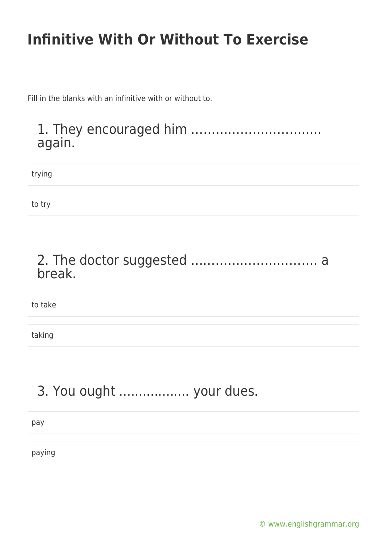Fill in the blanks with an infinitive with or without to.

#### 1. They encouraged him ………………………….. again.

trying

to try

#### 2. The doctor suggested …………………………. a break.

to take

taking

#### 3. You ought .................. your dues.

pay

paying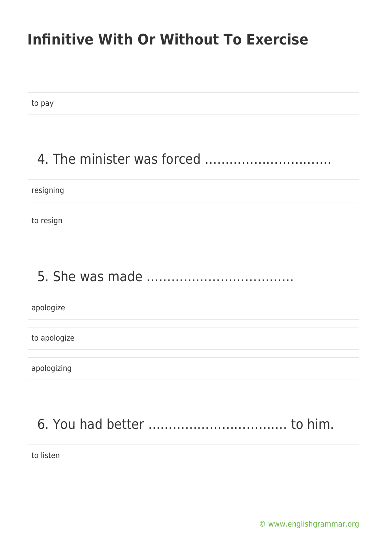to pay

#### 4. The minister was forced ………………………….

resigning

to resign

# 5. She was made ………………………………

apologize

to apologize

apologizing

# 6. You had better ……………………………. to him.

to listen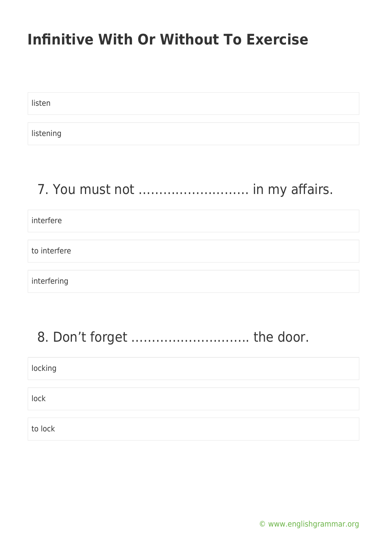listen

listening

#### 7. You must not ……………………… in my affairs.

interfere

to interfere

interfering

#### 8. Don't forget ................................. the door.

| locking |  |
|---------|--|
|         |  |
| lock    |  |
|         |  |
| to lock |  |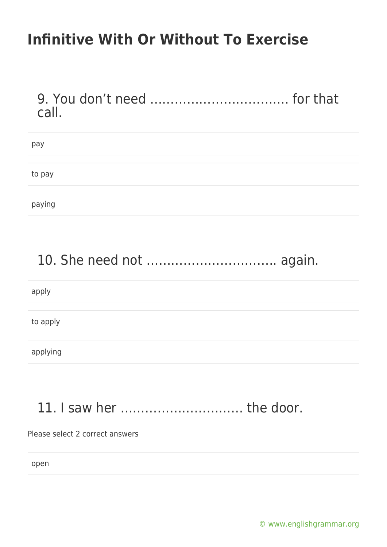9. You don't need ……………………………. for that call.

| pay    |  |  |  |
|--------|--|--|--|
|        |  |  |  |
| to pay |  |  |  |
|        |  |  |  |
| paying |  |  |  |

#### 10. She need not ………………………….. again.

apply

to apply

applying

#### 11. I saw her ………………………… the door.

Please select 2 correct answers

open